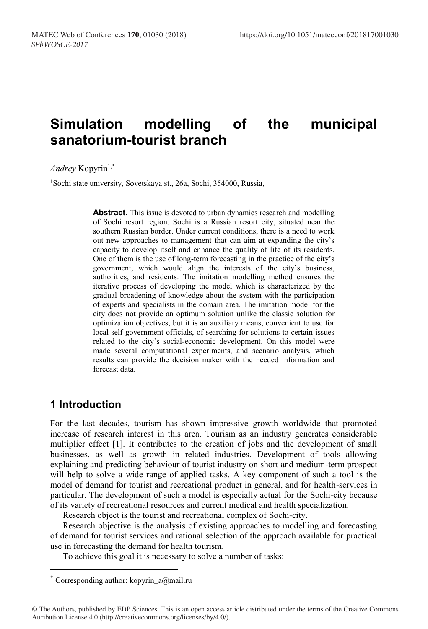# **Simulation modelling of the municipal sanatorium-tourist branch**

*Andrey* Kopyrin<sup>1,\*</sup>

1Sochi state university, Sovetskaya st., 26a, Sochi, 354000, Russia,

**Abstract.** This issue is devoted to urban dynamics research and modelling of Sochi resort region. Sochi is a Russian resort city, situated near the southern Russian border. Under current conditions, there is a need to work out new approaches to management that can aim at expanding the city's capacity to develop itself and enhance the quality of life of its residents. One of them is the use of long-term forecasting in the practice of the city's government, which would align the interests of the city's business, authorities, and residents. The imitation modelling method ensures the iterative process of developing the model which is characterized by the gradual broadening of knowledge about the system with the participation of experts and specialists in the domain area. The imitation model for the city does not provide an optimum solution unlike the classic solution for optimization objectives, but it is an auxiliary means, convenient to use for local self-government officials, of searching for solutions to certain issues related to the city's social-economic development. On this model were made several computational experiments, and scenario analysis, which results can provide the decision maker with the needed information and forecast data.

### **1 Introduction**

For the last decades, tourism has shown impressive growth worldwide that promoted increase of research interest in this area. Tourism as an industry generates considerable multiplier effect [1]. It contributes to the creation of jobs and the development of small businesses, as well as growth in related industries. Development of tools allowing explaining and predicting behaviour of tourist industry on short and medium-term prospect will help to solve a wide range of applied tasks. A key component of such a tool is the model of demand for tourist and recreational product in general, and for health-services in particular. The development of such a model is especially actual for the Sochi-city because of its variety of recreational resources and current medical and health specialization.

Research object is the tourist and recreational complex of Sochi-city.

Research objective is the analysis of existing approaches to modelling and forecasting of demand for tourist services and rational selection of the approach available for practical use in forecasting the demand for health tourism.

To achieve this goal it is necessary to solve a number of tasks:

<sup>\*</sup> Corresponding author: kopyrin\_a@mail.ru

<sup>©</sup> The Authors, published by EDP Sciences. This is an open access article distributed under the terms of the Creative Commons Attribution License 4.0 (http://creativecommons.org/licenses/by/4.0/).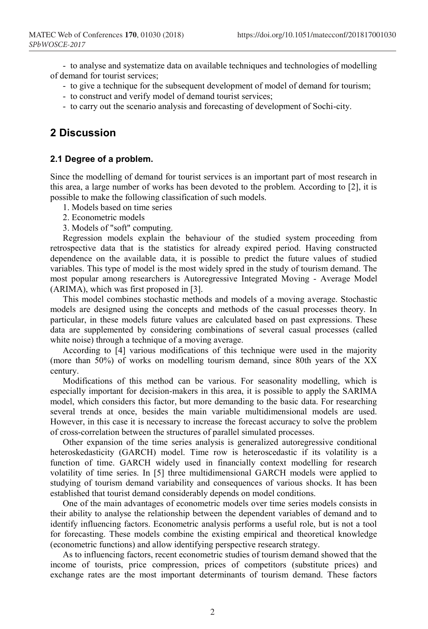- to analyse and systematize data on available techniques and technologies of modelling of demand for tourist services;

- to give a technique for the subsequent development of model of demand for tourism;
- to construct and verify model of demand tourist services;
- to carry out the scenario analysis and forecasting of development of Sochi-city.

## **2 Discussion**

### **2.1 Degree of a problem.**

Since the modelling of demand for tourist services is an important part of most research in this area, a large number of works has been devoted to the problem. According to [2], it is possible to make the following classification of such models.

- 1. Models based on time series
- 2. Econometric models
- 3. Models of "soft" computing.

Regression models explain the behaviour of the studied system proceeding from retrospective data that is the statistics for already expired period. Having constructed dependence on the available data, it is possible to predict the future values of studied variables. This type of model is the most widely spred in the study of tourism demand. The most popular among researchers is Autoregressive Integrated Moving - Average Model (ARIMA), which was first proposed in [3].

This model combines stochastic methods and models of a moving average. Stochastic models are designed using the concepts and methods of the casual processes theory. In particular, in these models future values are calculated based on past expressions. These data are supplemented by considering combinations of several casual processes (called white noise) through a technique of a moving average.

According to [4] various modifications of this technique were used in the majority (more than 50%) of works on modelling tourism demand, since 80th years of the XX century.

Modifications of this method can be various. For seasonality modelling, which is especially important for decision-makers in this area, it is possible to apply the SARIMA model, which considers this factor, but more demanding to the basic data. For researching several trends at once, besides the main variable multidimensional models are used. However, in this case it is necessary to increase the forecast accuracy to solve the problem of cross-correlation between the structures of parallel simulated processes.

Other expansion of the time series analysis is generalized autoregressive conditional heteroskedasticity (GARCH) model. Time row is heteroscedastic if its volatility is a function of time. GARCH widely used in financially context modelling for research volatility of time series. In [5] three multidimensional GARCH models were applied to studying of tourism demand variability and consequences of various shocks. It has been established that tourist demand considerably depends on model conditions.

One of the main advantages of econometric models over time series models consists in their ability to analyse the relationship between the dependent variables of demand and to identify influencing factors. Econometric analysis performs a useful role, but is not a tool for forecasting. These models combine the existing empirical and theoretical knowledge (econometric functions) and allow identifying perspective research strategy.

As to influencing factors, recent econometric studies of tourism demand showed that the income of tourists, price compression, prices of competitors (substitute prices) and exchange rates are the most important determinants of tourism demand. These factors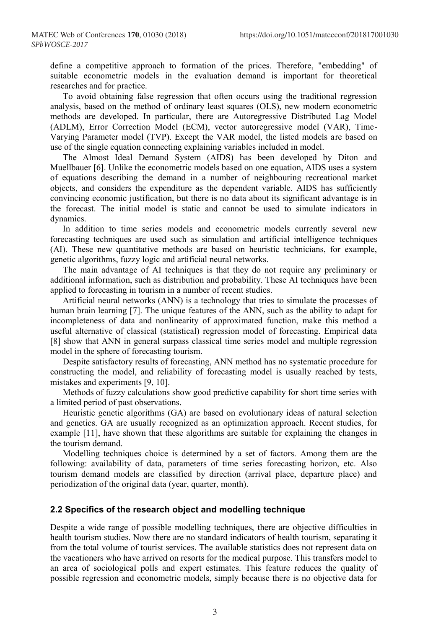define a competitive approach to formation of the prices. Therefore, "embedding" of suitable econometric models in the evaluation demand is important for theoretical researches and for practice.

To avoid obtaining false regression that often occurs using the traditional regression analysis, based on the method of ordinary least squares (OLS), new modern econometric methods are developed. In particular, there are Autoregressive Distributed Lag Model (ADLM), Error Correction Model (ECM), vector autoregressive model (VAR), Time-Varying Parameter model (TVP). Except the VAR model, the listed models are based on use of the single equation connecting explaining variables included in model.

The Almost Ideal Demand System (AIDS) has been developed by Diton and Muellbauer [6]. Unlike the econometric models based on one equation, AIDS uses a system of equations describing the demand in a number of neighbouring recreational market objects, and considers the expenditure as the dependent variable. AIDS has sufficiently convincing economic justification, but there is no data about its significant advantage is in the forecast. The initial model is static and cannot be used to simulate indicators in dynamics.

In addition to time series models and econometric models currently several new forecasting techniques are used such as simulation and artificial intelligence techniques (AI). These new quantitative methods are based on heuristic technicians, for example, genetic algorithms, fuzzy logic and artificial neural networks.

The main advantage of AI techniques is that they do not require any preliminary or additional information, such as distribution and probability. These AI techniques have been applied to forecasting in tourism in a number of recent studies.

Artificial neural networks (ANN) is a technology that tries to simulate the processes of human brain learning [7]. The unique features of the ANN, such as the ability to adapt for incompleteness of data and nonlinearity of approximated function, make this method a useful alternative of classical (statistical) regression model of forecasting. Empirical data [8] show that ANN in general surpass classical time series model and multiple regression model in the sphere of forecasting tourism.

Despite satisfactory results of forecasting, ANN method has no systematic procedure for constructing the model, and reliability of forecasting model is usually reached by tests, mistakes and experiments [9, 10].

Methods of fuzzy calculations show good predictive capability for short time series with a limited period of past observations.

Heuristic genetic algorithms (GA) are based on evolutionary ideas of natural selection and genetics. GA are usually recognized as an optimization approach. Recent studies, for example [11], have shown that these algorithms are suitable for explaining the changes in the tourism demand.

Modelling techniques choice is determined by a set of factors. Among them are the following: availability of data, parameters of time series forecasting horizon, etc. Also tourism demand models are classified by direction (arrival place, departure place) and periodization of the original data (year, quarter, month).

#### **2.2 Specifics of the research object and modelling technique**

Despite a wide range of possible modelling techniques, there are objective difficulties in health tourism studies. Now there are no standard indicators of health tourism, separating it from the total volume of tourist services. The available statistics does not represent data on the vacationers who have arrived on resorts for the medical purpose. This transfers model to an area of sociological polls and expert estimates. This feature reduces the quality of possible regression and econometric models, simply because there is no objective data for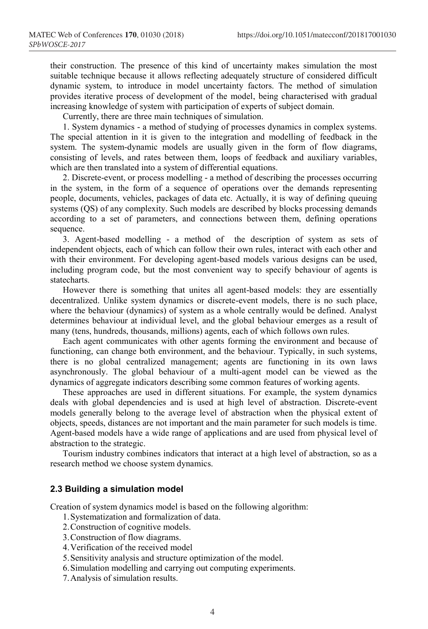their construction. The presence of this kind of uncertainty makes simulation the most suitable technique because it allows reflecting adequately structure of considered difficult dynamic system, to introduce in model uncertainty factors. The method of simulation provides iterative process of development of the model, being characterised with gradual increasing knowledge of system with participation of experts of subject domain.

Currently, there are three main techniques of simulation.

1. System dynamics - a method of studying of processes dynamics in complex systems. The special attention in it is given to the integration and modelling of feedback in the system. The system-dynamic models are usually given in the form of flow diagrams, consisting of levels, and rates between them, loops of feedback and auxiliary variables, which are then translated into a system of differential equations.

2. Discrete-event, or process modelling - a method of describing the processes occurring in the system, in the form of a sequence of operations over the demands representing people, documents, vehicles, packages of data etc. Actually, it is way of defining queuing systems (QS) of any complexity. Such models are described by blocks processing demands according to a set of parameters, and connections between them, defining operations sequence.

3. Agent-based modelling - a method of the description of system as sets of independent objects, each of which can follow their own rules, interact with each other and with their environment. For developing agent-based models various designs can be used, including program code, but the most convenient way to specify behaviour of agents is statecharts.

However there is something that unites all agent-based models: they are essentially decentralized. Unlike system dynamics or discrete-event models, there is no such place, where the behaviour (dynamics) of system as a whole centrally would be defined. Analyst determines behaviour at individual level, and the global behaviour emerges as a result of many (tens, hundreds, thousands, millions) agents, each of which follows own rules.

Each agent communicates with other agents forming the environment and because of functioning, can change both environment, and the behaviour. Typically, in such systems, there is no global centralized management; agents are functioning in its own laws asynchronously. The global behaviour of a multi-agent model can be viewed as the dynamics of aggregate indicators describing some common features of working agents.

These approaches are used in different situations. For example, the system dynamics deals with global dependencies and is used at high level of abstraction. Discrete-event models generally belong to the average level of abstraction when the physical extent of objects, speeds, distances are not important and the main parameter for such models is time. Agent-based models have a wide range of applications and are used from physical level of abstraction to the strategic.

Tourism industry combines indicators that interact at a high level of abstraction, so as a research method we choose system dynamics.

#### **2.3 Building a simulation model**

Creation of system dynamics model is based on the following algorithm:

- 1.Systematization and formalization of data.
- 2.Construction of cognitive models.
- 3.Construction of flow diagrams.
- 4.Verification of the received model
- 5.Sensitivity analysis and structure optimization of the model.
- 6.Simulation modelling and carrying out computing experiments.
- 7.Analysis of simulation results.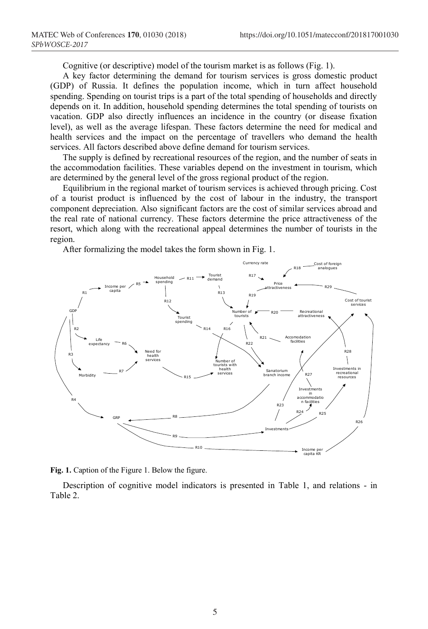Cognitive (or descriptive) model of the tourism market is as follows (Fig. 1).

A key factor determining the demand for tourism services is gross domestic product (GDP) of Russia. It defines the population income, which in turn affect household spending. Spending on tourist trips is a part of the total spending of households and directly depends on it. In addition, household spending determines the total spending of tourists on vacation. GDP also directly influences an incidence in the country (or disease fixation level), as well as the average lifespan. These factors determine the need for medical and health services and the impact on the percentage of travellers who demand the health services. All factors described above define demand for tourism services.

The supply is defined by recreational resources of the region, and the number of seats in the accommodation facilities. These variables depend on the investment in tourism, which are determined by the general level of the gross regional product of the region.

Equilibrium in the regional market of tourism services is achieved through pricing. Cost of a tourist product is influenced by the cost of labour in the industry, the transport component depreciation. Also significant factors are the cost of similar services abroad and the real rate of national currency. These factors determine the price attractiveness of the resort, which along with the recreational appeal determines the number of tourists in the region.

After formalizing the model takes the form shown in Fig. 1.



**Fig. 1.** Caption of the Figure 1. Below the figure.

Description of cognitive model indicators is presented in Table 1, and relations - in Table 2.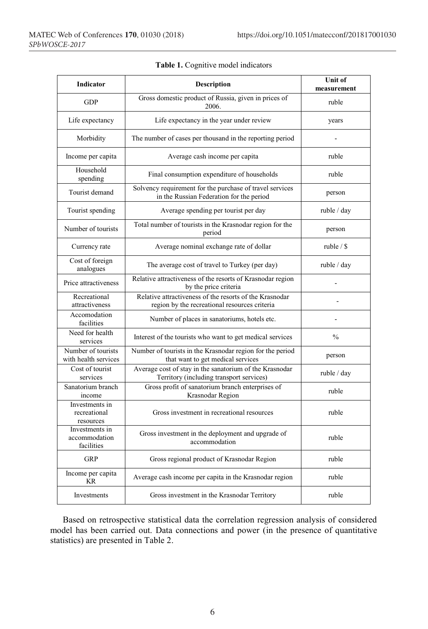| Indicator                                                  | <b>Description</b>                                                                                       | Unit of<br>measurement |
|------------------------------------------------------------|----------------------------------------------------------------------------------------------------------|------------------------|
| <b>GDP</b>                                                 | Gross domestic product of Russia, given in prices of<br>2006.                                            | ruble                  |
| Life expectancy                                            | Life expectancy in the year under review                                                                 | years                  |
| Morbidity                                                  | The number of cases per thousand in the reporting period                                                 |                        |
| Income per capita                                          | Average cash income per capita                                                                           | ruble                  |
| Household<br>spending                                      | Final consumption expenditure of households                                                              | ruble                  |
| Tourist demand                                             | Solvency requirement for the purchase of travel services<br>in the Russian Federation for the period     | person                 |
| Tourist spending                                           | Average spending per tourist per day                                                                     | ruble / day            |
| Number of tourists                                         | Total number of tourists in the Krasnodar region for the<br>period                                       | person                 |
| Currency rate                                              | Average nominal exchange rate of dollar                                                                  | ruble $/$ \$           |
| Cost of foreign<br>analogues                               | The average cost of travel to Turkey (per day)                                                           | ruble / day            |
| Price attractiveness                                       | Relative attractiveness of the resorts of Krasnodar region<br>by the price criteria                      |                        |
| Recreational<br>attractiveness                             | Relative attractiveness of the resorts of the Krasnodar<br>region by the recreational resources criteria |                        |
| Accomodation<br>facilities                                 | Number of places in sanatoriums, hotels etc.                                                             |                        |
| Need for health<br>services                                | Interest of the tourists who want to get medical services                                                | $\frac{0}{0}$          |
| Number of tourists<br>with health services                 | Number of tourists in the Krasnodar region for the period<br>that want to get medical services           | person                 |
| Cost of tourist<br>services                                | Average cost of stay in the sanatorium of the Krasnodar<br>Territory (including transport services)      | ruble / day            |
| Sanatorium branch<br>income                                | Gross profit of sanatorium branch enterprises of<br>Krasnodar Region                                     | ruble                  |
| Investments in<br>recreational<br>resources                | Gross investment in recreational resources                                                               | ruble                  |
| Investments in<br>accommodation<br>facilities              | Gross investment in the deployment and upgrade of<br>accommodation                                       | ruble                  |
| <b>GRP</b>                                                 | Gross regional product of Krasnodar Region                                                               | ruble                  |
| Income per capita<br><b>KR</b>                             | Average cash income per capita in the Krasnodar region                                                   | ruble                  |
| Gross investment in the Krasnodar Territory<br>Investments |                                                                                                          | ruble                  |

Based on retrospective statistical data the correlation regression analysis of considered model has been carried out. Data connections and power (in the presence of quantitative statistics) are presented in Table 2.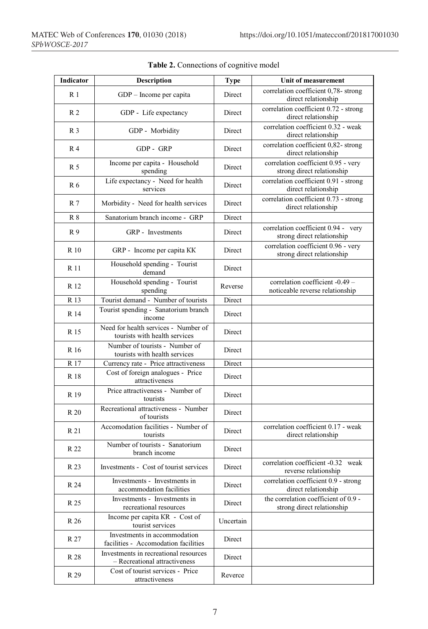| Indicator       | <b>Description</b>                                                     | <b>Type</b> | Unit of measurement                                                |
|-----------------|------------------------------------------------------------------------|-------------|--------------------------------------------------------------------|
| R <sub>1</sub>  | GDP - Income per capita                                                | Direct      | correlation coefficient 0,78- strong<br>direct relationship        |
| R <sub>2</sub>  | GDP - Life expectancy                                                  | Direct      | correlation coefficient 0.72 - strong<br>direct relationship       |
| R <sub>3</sub>  | GDP - Morbidity                                                        | Direct      | correlation coefficient 0.32 - weak<br>direct relationship         |
| R 4             | GDP - GRP                                                              | Direct      | correlation coefficient 0,82- strong<br>direct relationship        |
| R 5             | Income per capita - Household<br>spending                              | Direct      | correlation coefficient 0.95 - very<br>strong direct relationship  |
| R 6             | Life expectancy - Need for health<br>services                          | Direct      | correlation coefficient 0.91 - strong<br>direct relationship       |
| R 7             | Morbidity - Need for health services                                   | Direct      | correlation coefficient 0.73 - strong<br>direct relationship       |
| $R_8$           | Sanatorium branch income - GRP                                         | Direct      |                                                                    |
| R9              | GRP - Investments                                                      | Direct      | correlation coefficient 0.94 - very<br>strong direct relationship  |
| R 10            | GRP - Income per capita KK                                             | Direct      | correlation coefficient 0.96 - very<br>strong direct relationship  |
| R 11            | Household spending - Tourist<br>demand                                 | Direct      |                                                                    |
| R 12            | Household spending - Tourist<br>spending                               | Reverse     | correlation coefficient -0.49 -<br>noticeable reverse relationship |
| R 13            | Tourist demand - Number of tourists                                    | Direct      |                                                                    |
| R 14            | Tourist spending - Sanatorium branch<br>income                         | Direct      |                                                                    |
| R 15            | Need for health services - Number of<br>tourists with health services  | Direct      |                                                                    |
| R 16            | Number of tourists - Number of<br>tourists with health services        | Direct      |                                                                    |
| R 17            | Currency rate - Price attractiveness                                   | Direct      |                                                                    |
| R 18            | Cost of foreign analogues - Price<br>attractiveness                    | Direct      |                                                                    |
| R <sub>19</sub> | Price attractiveness - Number of<br>tourists                           | Direct      |                                                                    |
| R 20            | Recreational attractiveness - Number<br>of tourists                    | Direct      |                                                                    |
| R 21            | Accomodation facilities - Number of<br>tourists                        | Direct      | correlation coefficient 0.17 - weak<br>direct relationship         |
| R 22            | Number of tourists - Sanatorium<br>branch income                       | Direct      |                                                                    |
| R 23            | Investments - Cost of tourist services                                 | Direct      | correlation coefficient -0.32 weak<br>reverse relationship         |
| R 24            | Investments - Investments in<br>accommodation facilities               | Direct      | correlation coefficient 0.9 - strong<br>direct relationship        |
| R 25            | Investments - Investments in<br>recreational resources                 | Direct      | the correlation coefficient of 0.9 -<br>strong direct relationship |
| R 26            | Income per capita KR - Cost of<br>tourist services                     | Uncertain   |                                                                    |
| R 27            | Investments in accommodation<br>facilities - Accomodation facilities   | Direct      |                                                                    |
| R 28            | Investments in recreational resources<br>- Recreational attractiveness | Direct      |                                                                    |
| R 29            | Cost of tourist services - Price<br>attractiveness                     | Reverce     |                                                                    |

|  |  |  | Table 2. Connections of cognitive model |  |
|--|--|--|-----------------------------------------|--|
|--|--|--|-----------------------------------------|--|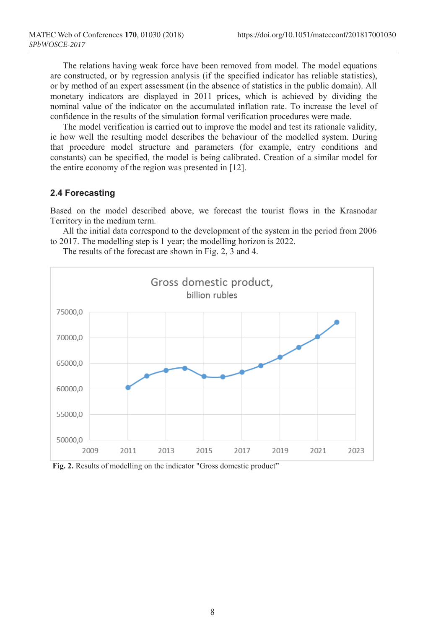The relations having weak force have been removed from model. The model equations are constructed, or by regression analysis (if the specified indicator has reliable statistics), or by method of an expert assessment (in the absence of statistics in the public domain). All monetary indicators are displayed in 2011 prices, which is achieved by dividing the nominal value of the indicator on the accumulated inflation rate. To increase the level of confidence in the results of the simulation formal verification procedures were made.

The model verification is carried out to improve the model and test its rationale validity, ie how well the resulting model describes the behaviour of the modelled system. During that procedure model structure and parameters (for example, entry conditions and constants) can be specified, the model is being calibrated. Creation of a similar model for the entire economy of the region was presented in [12].

#### **2.4 Forecasting**

Based on the model described above, we forecast the tourist flows in the Krasnodar Territory in the medium term.

All the initial data correspond to the development of the system in the period from 2006 to 2017. The modelling step is 1 year; the modelling horizon is 2022.

The results of the forecast are shown in Fig. 2, 3 and 4.



**Fig. 2.** Results of modelling on the indicator "Gross domestic product"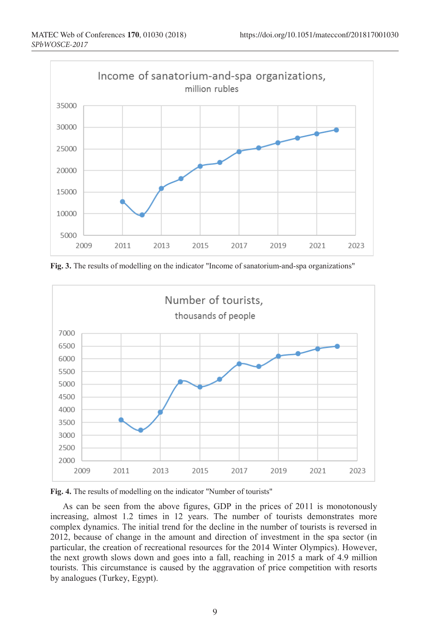

**Fig. 3.** The results of modelling on the indicator "Income of sanatorium-and-spa organizations"





As can be seen from the above figures, GDP in the prices of 2011 is monotonously increasing, almost 1.2 times in 12 years. The number of tourists demonstrates more complex dynamics. The initial trend for the decline in the number of tourists is reversed in 2012, because of change in the amount and direction of investment in the spa sector (in particular, the creation of recreational resources for the 2014 Winter Olympics). However, the next growth slows down and goes into a fall, reaching in 2015 a mark of 4.9 million tourists. This circumstance is caused by the aggravation of price competition with resorts by analogues (Turkey, Egypt).